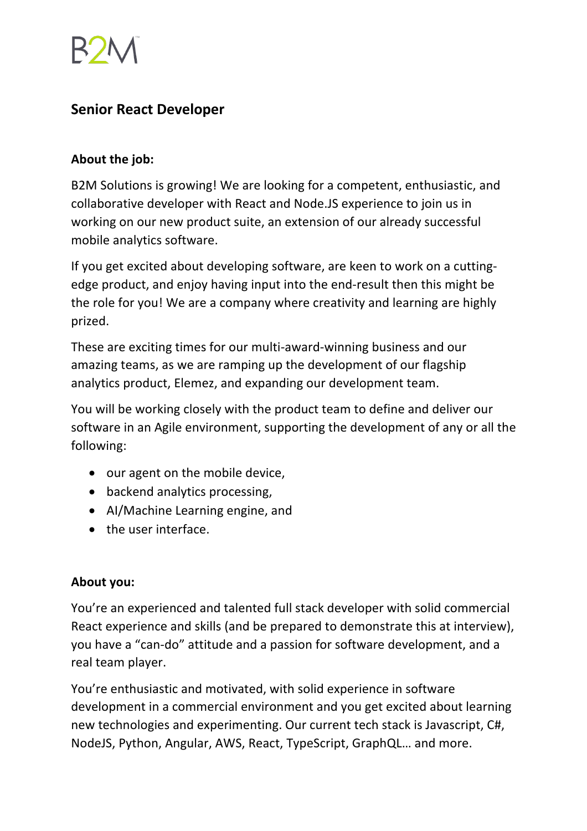

# **Senior React Developer**

## **About the job:**

B2M Solutions is growing! We are looking for a competent, enthusiastic, and collaborative developer with React and Node.JS experience to join us in working on our new product suite, an extension of our already successful mobile analytics software.

If you get excited about developing software, are keen to work on a cuttingedge product, and enjoy having input into the end-result then this might be the role for you! We are a company where creativity and learning are highly prized.

These are exciting times for our multi-award-winning business and our amazing teams, as we are ramping up the development of our flagship analytics product, Elemez, and expanding our development team.

You will be working closely with the product team to define and deliver our software in an Agile environment, supporting the development of any or all the following:

- our agent on the mobile device,
- backend analytics processing.
- AI/Machine Learning engine, and
- the user interface.

### **About you:**

You're an experienced and talented full stack developer with solid commercial React experience and skills (and be prepared to demonstrate this at interview), you have a "can-do" attitude and a passion for software development, and a real team player.

You're enthusiastic and motivated, with solid experience in software development in a commercial environment and you get excited about learning new technologies and experimenting. Our current tech stack is Javascript, C#, NodeJS, Python, Angular, AWS, React, TypeScript, GraphQL… and more.